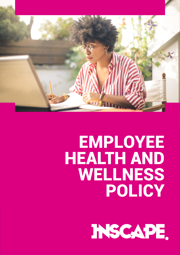

# **EMPLOYEE HEALTH AND WELLNESS** POLICY

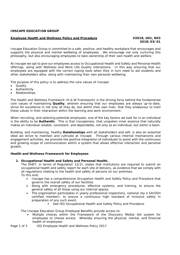## **INSCAPE EDUCATION GROUP**

### **Employee Health and Wellness Policy and Procedure V2018, U01, R03**

Inscape Education Group is committed to a safe, positive, and healthy workplace that encourages and supports the physical and mental wellbeing of employees. We encourage not only nurturing this philosophy, but also encouraging employees to take ownership of their own health and welfare.

At Inscape we opt to give our employees access to Occupational Health and Safety and Personal Health offerings, along with Wellness and Work Life Quality interactions. In this way ensuring that our employees are equipped with the correct coping tools when they in turn need to aid students and other stakeholders alike, along with maintaining their own personal wellbeing.

The purpose of this policy is to address the core values of Inscape:

- **Quality**
- Authenticity
- Relationships

The Health and Wellness Framework (H & W Framework) is the driving force behind the fundamental core values of maintaining **Quality**, wherein ensuring that our employees are always up-to-date, strive for excellence in not only all they do, but within their own lives: that they endeavour to instil these values in their interaction within the learning and work environment.

When recruiting, and selecting potential employees, one of the key factors we look for in an individual is the ability to be **Authentic**. This is that Inscapeness, that unspoken inner essence that naturally makes an individual reliable, consistent, and dependable, not only as an individual, but within a team.

Building, and maintaining, healthy **Relationships** with all stakeholders and self, is also an essential ideal we strive to maintain and cultivate at Inscape. Through various internal mechanisms and engagement activities, we promote the positive integration of individuals to assist with the continuous and growing scope of communication within a system that allows effective interaction and personal growth.

### **Health and Wellness Framework for Employees**

### **1. Occupational Health and Safety and Personal Health.**

The DHET, in terms of Regulation 12(2), states that institutions are required to submit an occupational health and safety report for each site of delivery, as evidence that we comply with all regulations relating to the health and safety of persons on our premises. To this end:

- Inscape has a comprehensive Occupation Health and Safety Policy and Procedure that governs the overall safety of our facilities.
- Along with emergency procedures, effective systems, and training, to ensure the general safety of all those using our internal spaces.
- The organisation participates in yearly professional inspections, national (by a SAIOSH certified member), to ensure a continuous high standard of inclusive safety in preparation of any such event.
	- See IEG Occupational Health and Safety Policy and Procedure

The Inscape Education Group Employee Benefits provide access to:

 Multiple choices within the Framework of the Discovery Medial Aid system for employees to choose access. Whereby ensuring the physical, mental, and financial health of employees

Page 1 of 3 IEG Employee Health and Wellness Policy 2017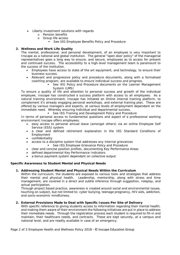- Liberty investment solutions with regards
	- o Pension benefits
	- o Group life access
		- **See IEG Employee Benefits Policy and Procedure**

# **2. Wellness and Work Life Quality**

The mental, professional, and personal development, of an employee is very important to Inscape as a national and global institution. The general "open door policy" of the managerial representatives goes a long way to ensure, and secure, employees as to access for present and continued success. The accessibility to a high-level management team is paramount to the success of the institution.

- Employees have access to state of the art equipment, and technology, to ensure their business success.
- Relevant and progressive policy and procedure documents, along with a formalised coaching program, are available to ensure individual success and progress.
	- See IEG Policy and Procedure documents on the Learner Management System (LMS)

To ensure a quality of life and attention to personal success and growth of the individual employee, Inscape has constructed a success platform with access to all employees. As a natural training environment, Inscape has initiated an Online internal training platform, to complement it's already engaging personal workshops, and external training plan. These are offered by various managers and experts, at various levels of employment dependant on the immediate need. Whereby ensuring individual and departmental success.

**See IEG Training and Development Policy and Procedure** 

In terms of personal access to fundamental questions and aspect of a professional working environment Inscape offers employees:

- easy access to personal annual leave (amongst others) via an online Employee Self Service (ESS) system
- a clear and defined retirement explanation in the IEG Standard Conditions of Employment
- confidentiality
- access to a discipline system that addresses any internal grievances
	- See IEG Employee Grievance Policy and Procedure
- clear and concise position profiles, documenting Key Performance Areas
- defined departmental Key Performance Indicators
- a bonus payment system dependant on collective output

### **Specific Awareness to Student Mental and Physical Needs**

### **1. Addressing Student Mental and Physical Needs Within the Curriculum**

Within the curriculum, the students are exposed to various tools and strategies that address their mental and physical health. Leadership, mentorship, along with stress and time management, are covered in a direct and subtle inference through suggestion, roleplay, and actual participation.

Through project based practice, awareness is created around social and environmental issues, touching on subject, but not limited to: cyber bullying, teenage pregnancy, HIV aids, addiction, and socio-economic mindfulness.

### **2. External Provisions Made to Deal with Specific Issues Per Site of Delivery**

With specific reference to giving students access to information regarding their mental health, and making them aware of their environment the following initiatives are put in place to address their immediate needs. Through the registration process each student is required to fill-in and maintain, their healthcare needs, and contracts. These are kept securely, at a campus and national level, and are readily available in case of an emergency.

Page 2 of 3 Employee Health and Wellness Policy 2018 ‐ © Inscape Education Group